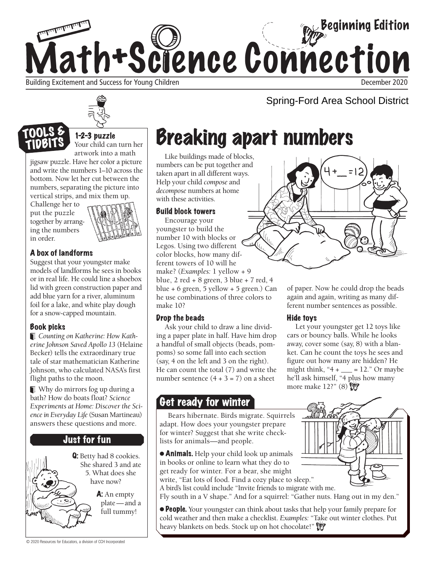



jigsaw puzzle. Have her color a picture and write the numbers 1–10 across the bottom. Now let her cut between the numbers, separating the picture into vertical strips, and mix them up.

Challenge her to put the puzzle together by arranging the numbers in order.



### A box of landforms

Suggest that your youngster make models of landforms he sees in books or in real life. He could line a shoebox lid with green construction paper and add blue yarn for a river, aluminum foil for a lake, and white play dough for a snow-capped mountain.

### Book picks

*Counting on Katherine: How Katherine Johnson Saved Apollo 13* (Helaine Becker) tells the extraordinary true tale of star mathematician Katherine Johnson, who calculated NASA's first flight paths to the moon.

 Why do mirrors fog up during a bath? How do boats float? *Science Experiments at Home: Discover the Science in Everyday Life* (Susan Martineau) answers these questions and more.

## Just for fun

Q: Betty had 8 cookies. She shared 3 and ate 5. What does she have now? A: An empty

plate — and a full tummy!

# Breaking apart numbers

Like buildings made of blocks, numbers can be put together and taken apart in all different ways. Help your child *compose* and *decompose* numbers at home with these activities.

#### Build block towers

Encourage your youngster to build the number 10 with blocks or Legos. Using two different color blocks, how many different towers of 10 will he make? (*Examples:* 1 yellow + 9 blue, 2 red + 8 green, 3 blue + 7 red, 4 blue + 6 green, 5 yellow + 5 green.) Can he use combinations of three colors to make 10?

#### Drop the beads

Ask your child to draw a line dividing a paper plate in half. Have him drop a handful of small objects (beads, pompoms) so some fall into each section (say, 4 on the left and 3 on the right). He can count the total (7) and write the number sentence  $(4 + 3 = 7)$  on a sheet

# Get ready for winter

Bears hibernate. Birds migrate. Squirrels adapt. How does your youngster prepare for winter? Suggest that she write checklists for animals—and people.

● Animals. Help your child look up animals in books or online to learn what they do to get ready for winter. For a bear, she might write, "Eat lots of food. Find a cozy place to sleep."

A bird's list could include "Invite friends to migrate with me.

Fly south in a V shape." And for a squirrel: "Gather nuts. Hang out in my den."

● People. Your youngster can think about tasks that help your family prepare for cold weather and then make a checklist. *Examples:* "Take out winter clothes. Put heavy blankets on beds. Stock up on hot chocolate!"



Spring-Ford Area School District

of paper. Now he could drop the beads again and again, writing as many different number sentences as possible.

### Hide toys

Let your youngster get 12 toys like cars or bouncy balls. While he looks away, cover some (say, 8) with a blanket. Can he count the toys he sees and figure out how many are hidden? He might think, " $4 + 2$ ." Or maybe he'll ask himself, "4 plus how many more make 12?" (8)